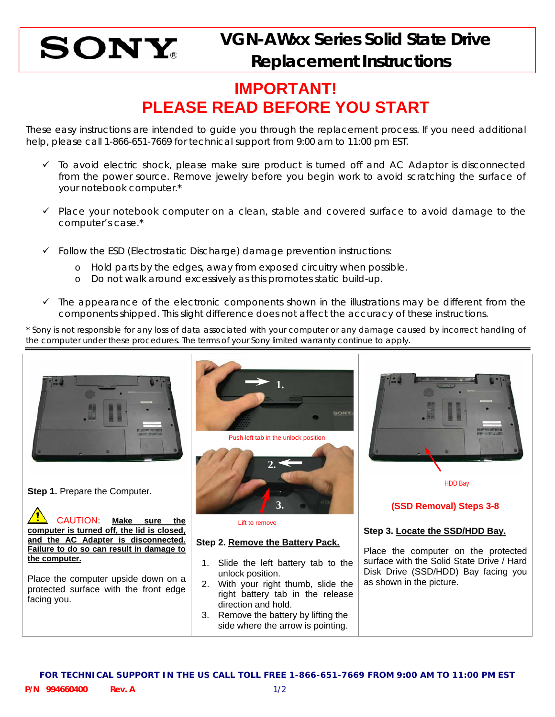

## **IMPORTANT! PLEASE READ BEFORE YOU START**

These easy instructions are intended to guide you through the replacement process. If you need additional help, please call 1-866-651-7669 for technical support from 9:00 am to 11:00 pm EST.

- $\checkmark$  To avoid electric shock, please make sure product is turned off and AC Adaptor is disconnected from the power source. Remove jewelry before you begin work to avoid scratching the surface of your notebook computer.\*
- $\checkmark$  Place your notebook computer on a clean, stable and covered surface to avoid damage to the computer's case.\*
- $\checkmark$  Follow the ESD (Electrostatic Discharge) damage prevention instructions:
	- o Hold parts by the edges, away from exposed circuitry when possible.
	- o Do not walk around excessively as this promotes static build-up.
- $\checkmark$  The appearance of the electronic components shown in the illustrations may be different from the components shipped. This slight difference does not affect the accuracy of these instructions.

\* Sony is not responsible for any loss of data associated with your computer or any damage caused by incorrect handling of the computer under these procedures. The terms of your Sony limited warranty continue to apply.